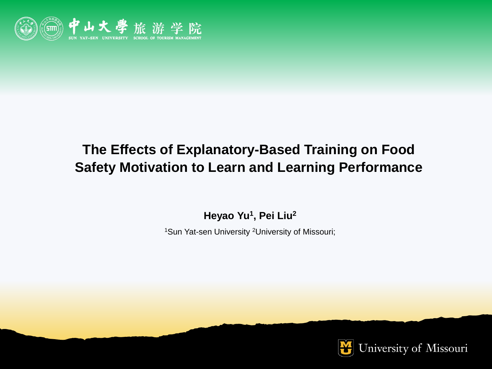

# **The Effects of Explanatory-Based Training on Food Safety Motivation to Learn and Learning Performance**

**Heyao Yu<sup>1</sup> , Pei Liu<sup>2</sup>**

1Sun Yat-sen University <sup>2</sup>University of Missouri;

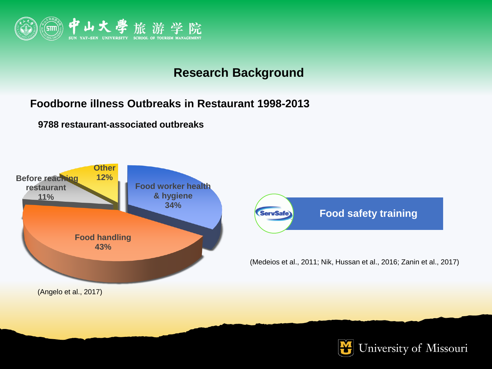

### **Research Background**

#### **Foodborne illness Outbreaks in Restaurant 1998-2013**

**9788 restaurant-associated outbreaks**





(Medeios et al., 2011; Nik, Hussan et al., 2016; Zanin et al., 2017)

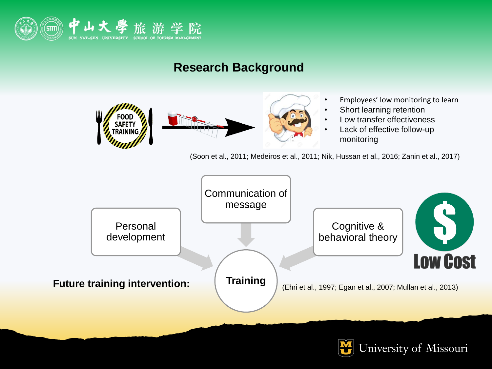

### **Research Background**



(Soon et al., 2011; Medeiros et al., 2011; Nik, Hussan et al., 2016; Zanin et al., 2017)



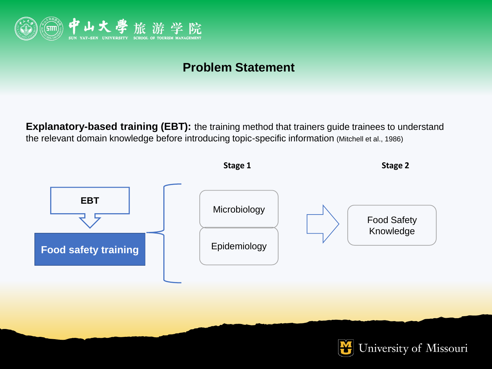

### **Problem Statement**

**Explanatory-based training (EBT):** the training method that trainers guide trainees to understand the relevant domain knowledge before introducing topic-specific information (Mitchell et al., 1986)

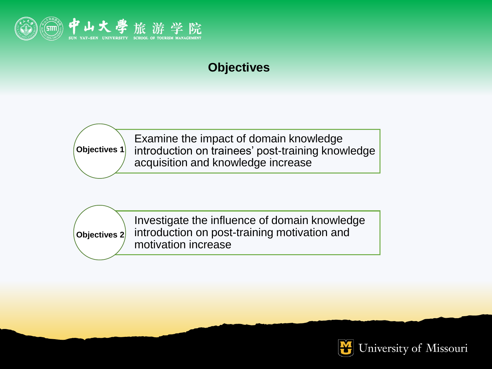

## **Objectives**

**Objectives 1**

Examine the impact of domain knowledge introduction on trainees' post-training knowledge acquisition and knowledge increase

**Objectives 2**

Investigate the influence of domain knowledge introduction on post-training motivation and motivation increase

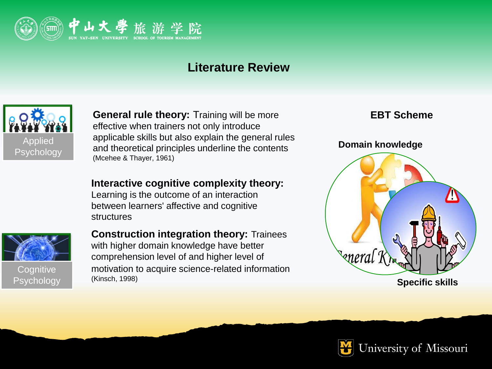

### **Literature Review**



**General rule theory:** Training will be more effective when trainers not only introduce applicable skills but also explain the general rules and theoretical principles underline the contents (Mcehee & Thayer, 1961)

#### **Interactive cognitive complexity theory:**

Learning is the outcome of an interaction between learners' affective and cognitive structures



**Cognitive** Psychology **Construction integration theory:** Trainees with higher domain knowledge have better comprehension level of and higher level of motivation to acquire science-related information (Kinsch, 1998)

#### **EBT Scheme**



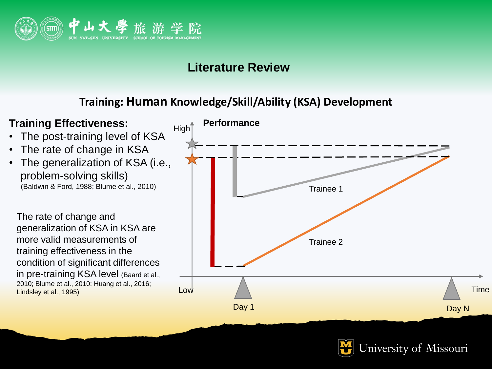

### **Literature Review**

### **Training: Human Knowledge/Skill/Ability (KSA) Development**



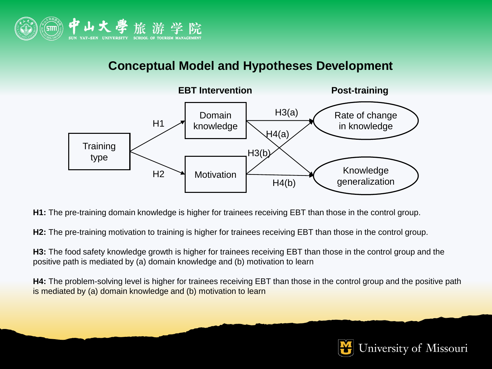

### **Conceptual Model and Hypotheses Development**



**H1:** The pre-training domain knowledge is higher for trainees receiving EBT than those in the control group.

**H2:** The pre-training motivation to training is higher for trainees receiving EBT than those in the control group.

**H3:** The food safety knowledge growth is higher for trainees receiving EBT than those in the control group and the positive path is mediated by (a) domain knowledge and (b) motivation to learn

**H4:** The problem-solving level is higher for trainees receiving EBT than those in the control group and the positive path is mediated by (a) domain knowledge and (b) motivation to learn

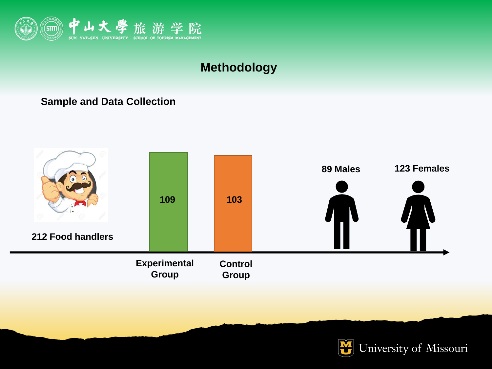

#### **Sample and Data Collection**



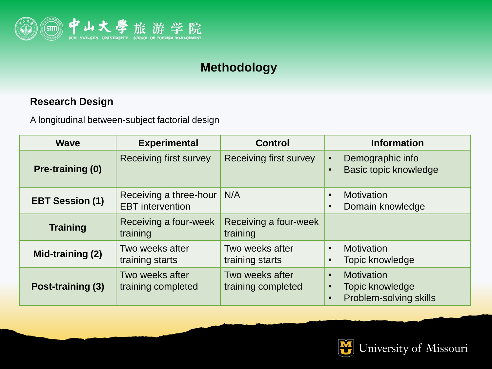

### **Research Design**

A longitudinal between-subject factorial design

| <b>Wave</b>            | <b>Experimental</b>                               | <b>Control</b>                        | <b>Information</b>                                                                                    |  |  |
|------------------------|---------------------------------------------------|---------------------------------------|-------------------------------------------------------------------------------------------------------|--|--|
| Pre-training (0)       | Receiving first survey                            | Receiving first survey                | Demographic info<br>$\bullet$<br>Basic topic knowledge<br>$\bullet$                                   |  |  |
| <b>EBT Session (1)</b> | Receiving a three-hour<br><b>EBT</b> intervention | N/A                                   | <b>Motivation</b><br>$\bullet$<br>Domain knowledge<br>$\bullet$                                       |  |  |
| <b>Training</b>        | Receiving a four-week<br>training                 | Receiving a four-week<br>training     |                                                                                                       |  |  |
| Mid-training (2)       | Two weeks after<br>training starts                | Two weeks after<br>training starts    | Motivation<br>$\bullet$<br>Topic knowledge<br>$\bullet$                                               |  |  |
| Post-training (3)      | Two weeks after<br>training completed             | Two weeks after<br>training completed | <b>Motivation</b><br>$\bullet$<br>Topic knowledge<br>$\bullet$<br>Problem-solving skills<br>$\bullet$ |  |  |

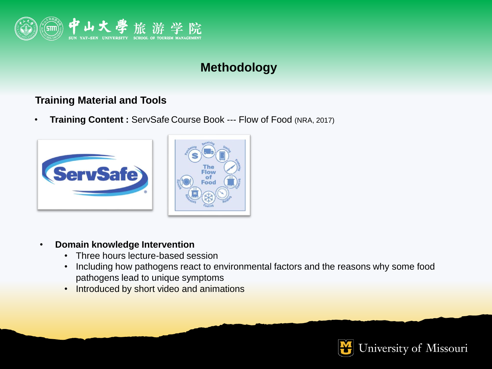

#### **Training Material and Tools**

• **Training Content :** ServSafe Course Book --- Flow of Food (NRA, 2017)



- **Domain knowledge Intervention**
	- Three hours lecture-based session
	- Including how pathogens react to environmental factors and the reasons why some food pathogens lead to unique symptoms
	- Introduced by short video and animations

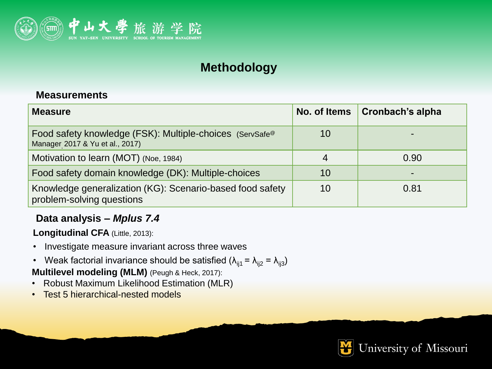

#### **Measurements**

| <b>Measure</b>                                                                                          | No. of Items | <b>Cronbach's alpha</b> |
|---------------------------------------------------------------------------------------------------------|--------------|-------------------------|
| Food safety knowledge (FSK): Multiple-choices (ServSafe <sup>®</sup><br>Manager 2017 & Yu et al., 2017) | 10           |                         |
| Motivation to learn (MOT) (Noe, 1984)                                                                   | 4            | 0.90                    |
| Food safety domain knowledge (DK): Multiple-choices                                                     | 10           | $\blacksquare$          |
| Knowledge generalization (KG): Scenario-based food safety<br>problem-solving questions                  | 10           | 0.81                    |

#### **Data analysis –** *Mplus 7.4*

**Longitudinal CFA** (Little, 2013):

- Investigate measure invariant across three waves
- Weak factorial invariance should be satisfied  $(\lambda_{ij1} = \lambda_{ij2} = \lambda_{ij3})$

**Multilevel modeling (MLM)** (Peugh & Heck, 2017):

- Robust Maximum Likelihood Estimation (MLR)
- Test 5 hierarchical-nested models

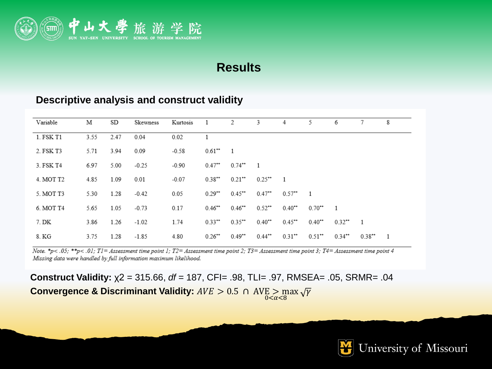

#### **Descriptive analysis and construct validity**

| Variable  | М    | SD   | Skewness | Kurtosis |                      | 2                      | 3                    | 4                    | 5                    | 6                    |          | 8              |
|-----------|------|------|----------|----------|----------------------|------------------------|----------------------|----------------------|----------------------|----------------------|----------|----------------|
| 1. FSK T1 | 3.55 | 2.47 | 0.04     | 0.02     |                      |                        |                      |                      |                      |                      |          |                |
| 2. FSK T3 | 5.71 | 3.94 | 0.09     | $-0.58$  | $0.61$ <sup>**</sup> | $\overline{1}$         |                      |                      |                      |                      |          |                |
| 3. FSK T4 | 6.97 | 5.00 | $-0.25$  | $-0.90$  | $0.47$ <sup>**</sup> | $0.74$ <sup>**</sup> 1 |                      |                      |                      |                      |          |                |
| 4. MOT T2 | 4.85 | 1.09 | 0.01     | $-0.07$  | $0.38**$             | $0.21$ <sup>**</sup>   | $0.25$ <sup>**</sup> | $\overline{1}$       |                      |                      |          |                |
| 5. MOT T3 | 5.30 | 1.28 | $-0.42$  | 0.05     | $0.29**$             | $0.45$ **              | $0.47$ <sup>**</sup> | $0.57$ $*$ 1         |                      |                      |          |                |
| 6. MOT T4 | 5.65 | 1.05 | $-0.73$  | 0.17     | $0.46**$             | $0.46$ <sup>**</sup>   | $0.52$ <sup>**</sup> | $0.40$ <sup>**</sup> | $0.70**$             |                      |          |                |
| 7. DK     | 3.86 | 1.26 | $-1.02$  | 1.74     | $0.33**$             | $0.35**$               | $0.40**$             | $0.45$ <sup>**</sup> | $0.40**$             | $0.32$ <sup>**</sup> |          |                |
| 8. KG     | 3.75 | 1.28 | $-1.85$  | 4.80     | $0.26$ <sup>**</sup> | $0.49**$               | $0.44**$             | $0.31$ <sup>**</sup> | $0.51$ <sup>**</sup> | $0.34$ <sup>**</sup> | $0.38**$ | $\overline{1}$ |

Note. \*p< .05; \*\*p< .01; T1= Assessment time point 1; T2= Assessment time point 2; T3= Assessment time point 3; T4= Assessment time point 4 Missing data were handled by full information maximum likelihood.

**Construct Validity:** χ2 = 315.66, *df* = 187, CFI= .98, TLI= .97, RMSEA= .05, SRMR= .04 Convergence & Discriminant Validity: *AVE* > 0.5 ∩ AVE > max  $\sqrt{\gamma}$ 

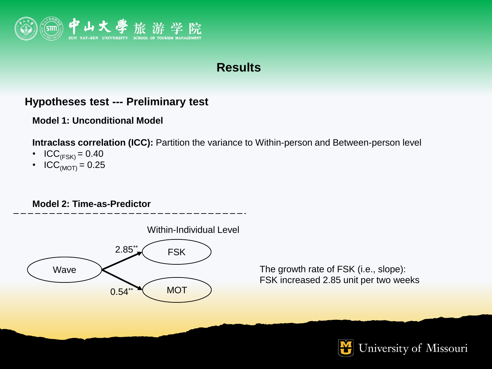

#### **Hypotheses test --- Preliminary test**

#### **Model 1: Unconditional Model**

**Intraclass correlation (ICC):** Partition the variance to Within-person and Between-person level

- ICC<sub>(FSK)</sub> = 0.40
- ICC<sub>(MOT)</sub> = 0.25

#### **Model 2: Time-as-Predictor**



The growth rate of FSK (i.e., slope): FSK increased 2.85 unit per two weeks

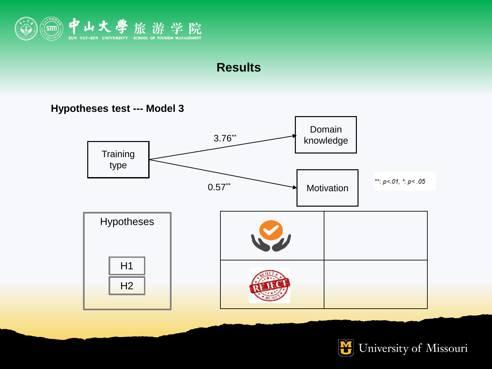

**Hypotheses test --- Model 3** 



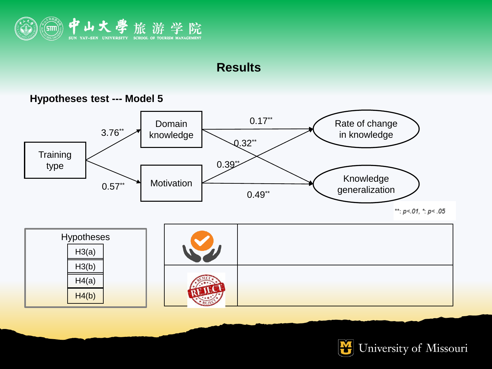



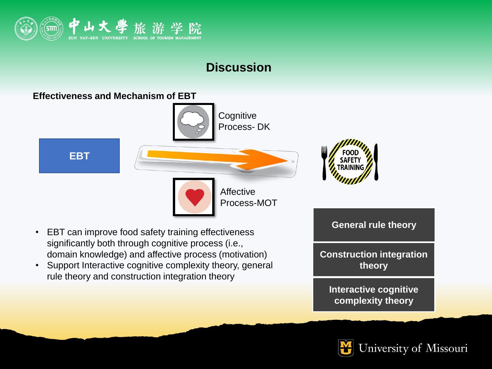

## **Discussion**



- EBT can improve food safety training effectiveness significantly both through cognitive process (i.e., domain knowledge) and affective process (motivation)
- Support Interactive cognitive complexity theory, general rule theory and construction integration theory

**General rule theory Construction integration theory Interactive cognitive complexity theory**

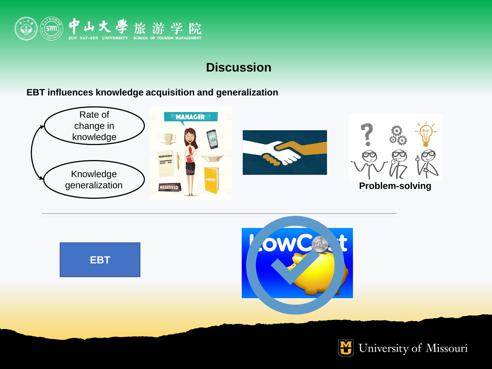

## **Discussion**

#### **EBT influences knowledge acquisition and generalization**





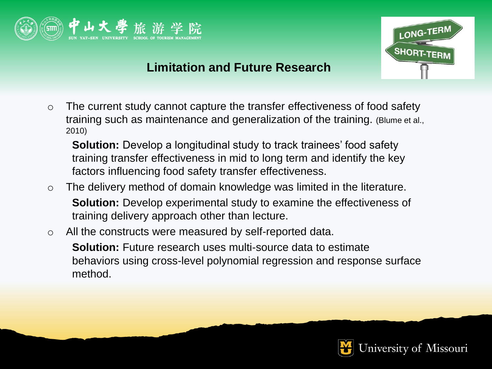



### **Limitation and Future Research**

o The current study cannot capture the transfer effectiveness of food safety training such as maintenance and generalization of the training. (Blume et al., 2010)

**Solution:** Develop a longitudinal study to track trainees' food safety training transfer effectiveness in mid to long term and identify the key factors influencing food safety transfer effectiveness.

- o The delivery method of domain knowledge was limited in the literature. **Solution:** Develop experimental study to examine the effectiveness of training delivery approach other than lecture.
- o All the constructs were measured by self-reported data.

**Solution:** Future research uses multi-source data to estimate behaviors using cross-level polynomial regression and response surface method.